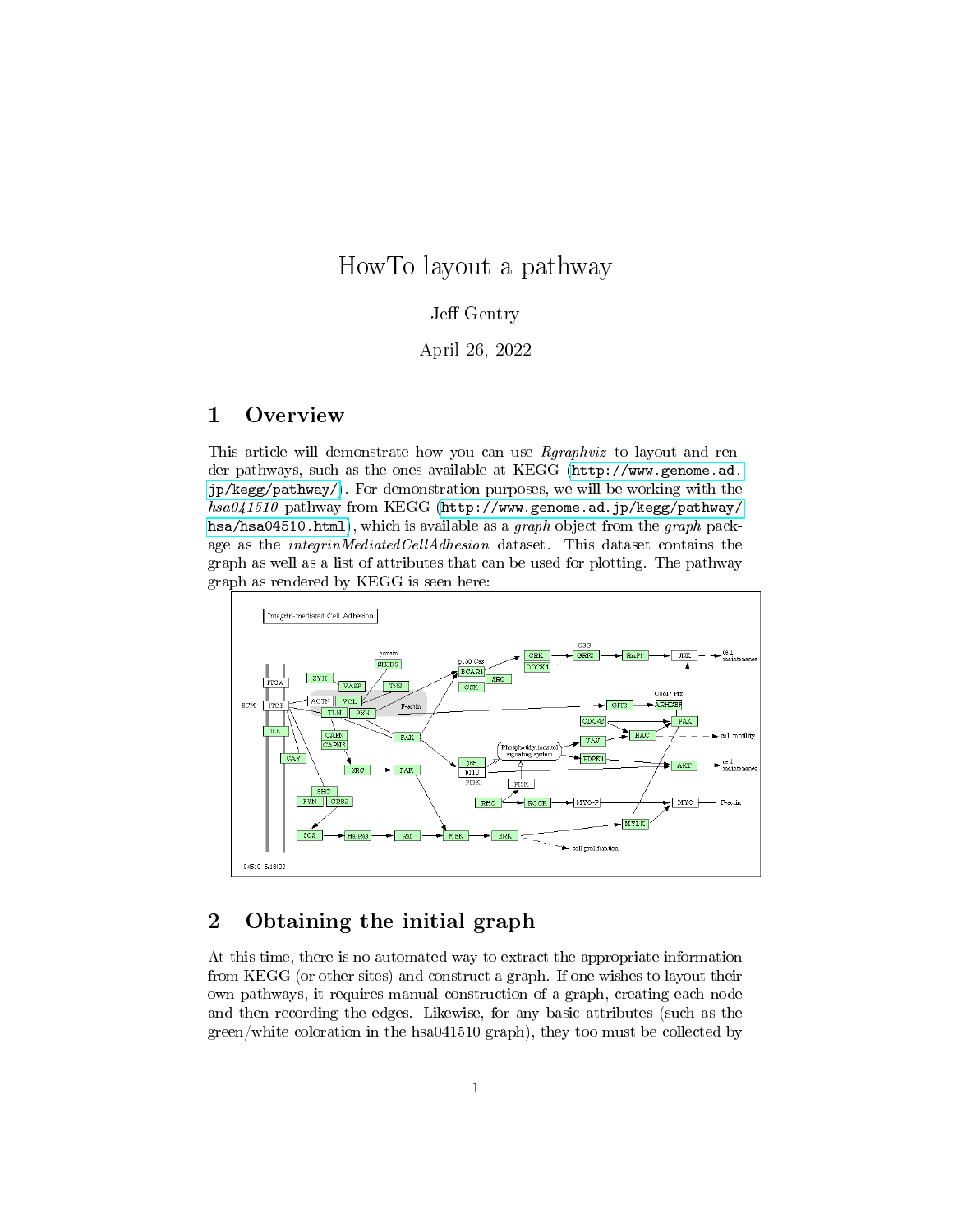# HowTo layout a pathway

#### Jeff Gentry

#### April 26, 2022

## <span id="page-0-0"></span>1 Overview

This article will demonstrate how you can use Rgraphviz to layout and render pathways, such as the ones available at KEGG [\(http://www.genome.ad.](http://www.genome.ad.jp/kegg/pathway/) [jp/kegg/pathway/\)](http://www.genome.ad.jp/kegg/pathway/). For demonstration purposes, we will be working with the hsa041510 pathway from KEGG [\(http://www.genome.ad.jp/kegg/pathway/](http://www.genome.ad.jp/kegg/pathway/hsa/hsa04510.html) [hsa/hsa04510.html\)](http://www.genome.ad.jp/kegg/pathway/hsa/hsa04510.html), which is available as a graph object from the graph package as the integrinMediatedCellAdhesion dataset. This dataset contains the graph as well as a list of attributes that can be used for plotting. The pathway graph as rendered by KEGG is seen here:



## 2 Obtaining the initial graph

At this time, there is no automated way to extract the appropriate information from KEGG (or other sites) and construct a graph. If one wishes to layout their own pathways, it requires manual construction of a graph, creating each node and then recording the edges. Likewise, for any basic attributes (such as the green/white coloration in the hsa041510 graph), they too must be collected by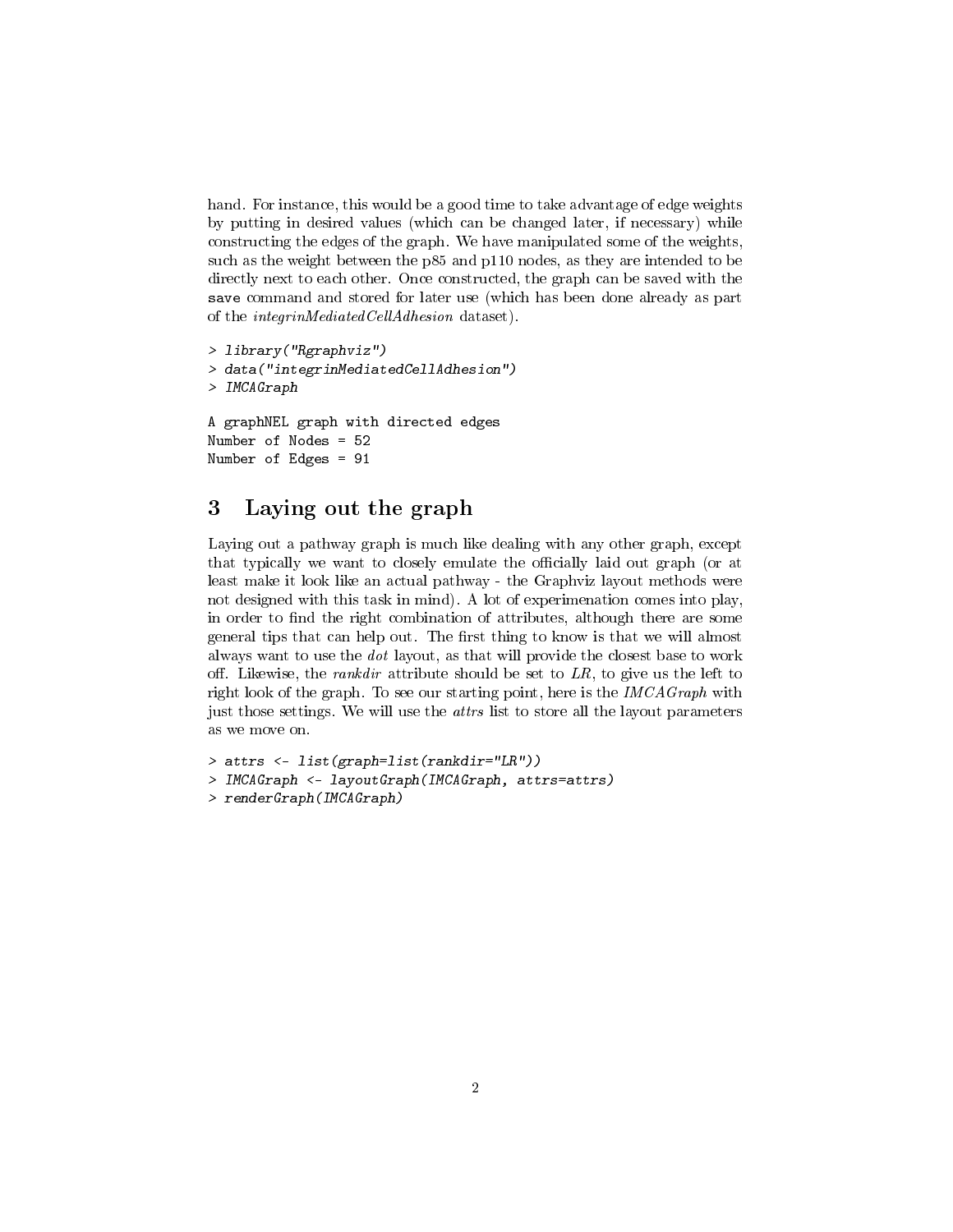hand. For instance, this would be a good time to take advantage of edge weights by putting in desired values (which can be changed later, if necessary) while constructing the edges of the graph. We have manipulated some of the weights, such as the weight between the p85 and p110 nodes, as they are intended to be directly next to each other. Once constructed, the graph can be saved with the save command and stored for later use (which has been done already as part of the integrinMediatedCellAdhesion dataset).

```
> library("Rgraphviz")
> data("integrinMediatedCellAdhesion")
> IMCAGraph
A graphNEL graph with directed edges
Number of Nodes = 52
Number of Edges = 91
```
#### 3 Laying out the graph

Laying out a pathway graph is much like dealing with any other graph, except that typically we want to closely emulate the officially laid out graph (or at least make it look like an actual pathway - the Graphviz layout methods were not designed with this task in mind). A lot of experimenation comes into play, in order to find the right combination of attributes, although there are some general tips that can help out. The first thing to know is that we will almost always want to use the dot layout, as that will provide the closest base to work off. Likewise, the *rankdir* attribute should be set to  $LR$ , to give us the left to right look of the graph. To see our starting point, here is the IMCAGraph with just those settings. We will use the *attrs* list to store all the layout parameters as we move on.

```
> attrs <- list(graph=list(rankdir="LR"))
> IMCAGraph <- layoutGraph(IMCAGraph, attrs=attrs)
> renderGraph(IMCAGraph)
```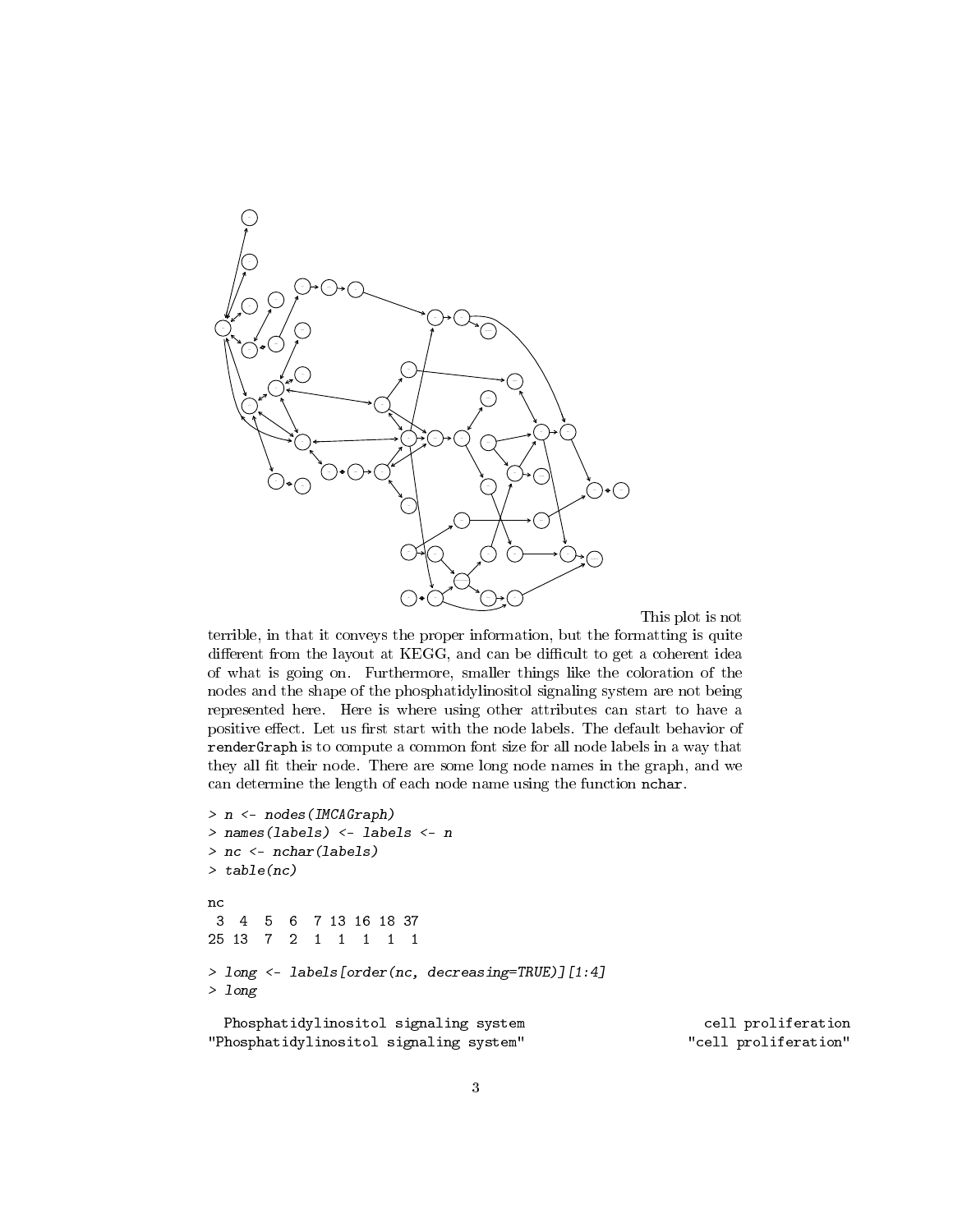

This plot is not

terrible, in that it conveys the proper information, but the formatting is quite different from the layout at KEGG, and can be difficult to get a coherent idea of what is going on. Furthermore, smaller things like the coloration of the nodes and the shape of the phosphatidylinositol signaling system are not being represented here. Here is where using other attributes can start to have a positive effect. Let us first start with the node labels. The default behavior of renderGraph is to compute a common font size for all node labels in a way that they all fit their node. There are some long node names in the graph, and we can determine the length of each node name using the function nchar.

```
> n <- nodes(IMCAGraph)
> names(labels) <- labels <- n
> nc <- nchar(labels)
> table(nc)
nc
3 4 5 6 7 13 16 18 37
25 13 7 2 1 1 1 1 1
> long <- labels[order(nc, decreasing=TRUE)][1:4]
> long
 Phosphatidylinositol signaling system and cell proliferation
"Phosphatidylinositol signaling system" "cell proliferation"
```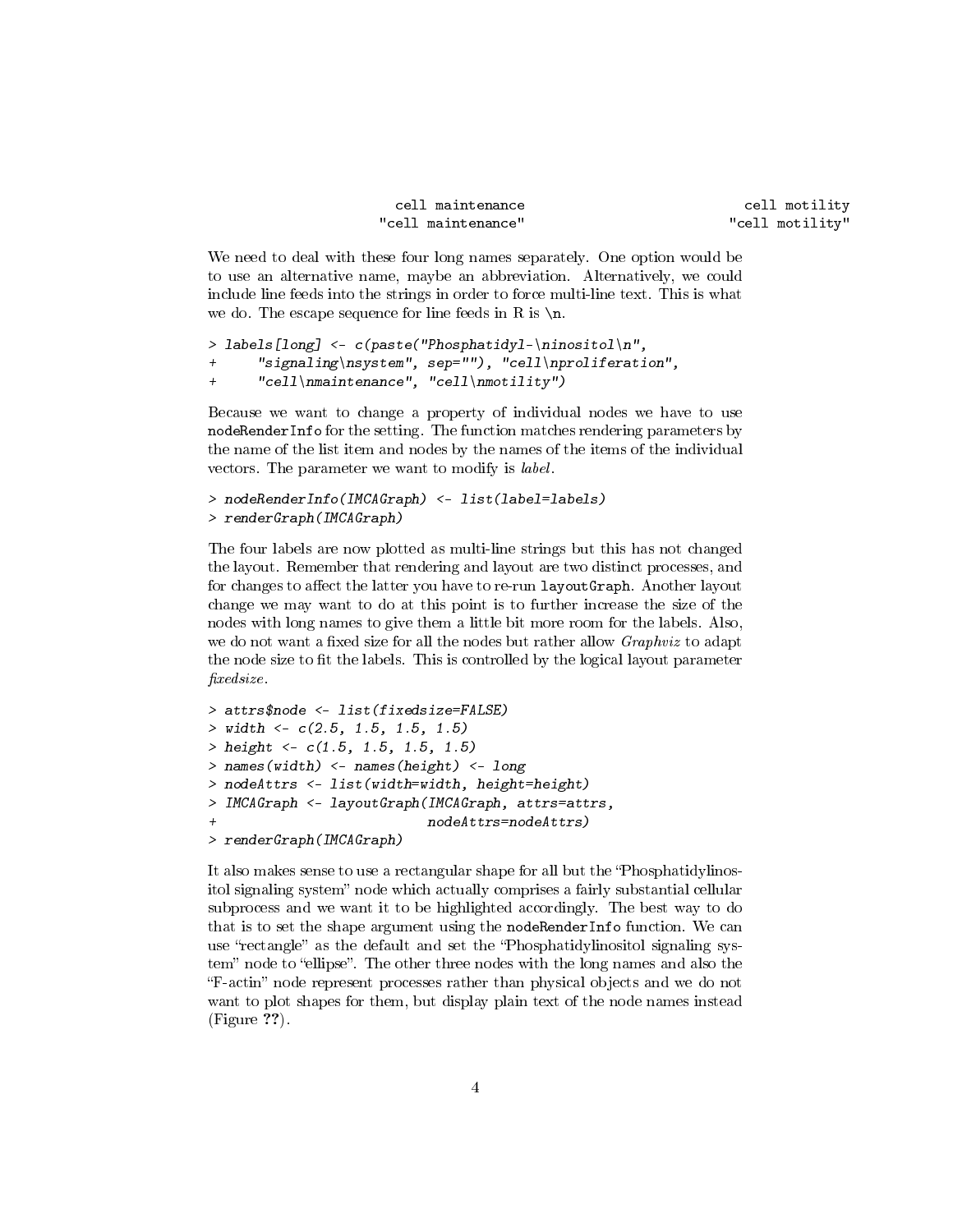```
cell maintenance cell motility
"cell maintenance" "cell motility"
```
We need to deal with these four long names separately. One option would be to use an alternative name, maybe an abbreviation. Alternatively, we could include line feeds into the strings in order to force multi-line text. This is what we do. The escape sequence for line feeds in R is  $\n\lambda$ .

```
> labels[long] <- c(paste("Phosphatidyl-\ninositol\n",
+ "signaling\nsystem", sep=""), "cell\nproliferation",
+ "cell\nmaintenance", "cell\nmotility")
```
Because we want to change a property of individual nodes we have to use nodeRenderInfo for the setting. The function matches rendering parameters by the name of the list item and nodes by the names of the items of the individual vectors. The parameter we want to modify is label.

```
> nodeRenderInfo(IMCAGraph) <- list(label=labels)
> renderGraph(IMCAGraph)
```
The four labels are now plotted as multi-line strings but this has not changed the layout. Remember that rendering and layout are two distinct processes, and for changes to affect the latter you have to re-run layoutGraph. Another layout change we may want to do at this point is to further increase the size of the nodes with long names to give them a little bit more room for the labels. Also, we do not want a fixed size for all the nodes but rather allow  $Graphviz$  to adapt the node size to fit the labels. This is controlled by the logical layout parameter xedsize.

```
> attrs$node <- list(fixedsize=FALSE)
> width \leftarrow c(2.5, 1.5, 1.5, 1.5)> height <- c(1.5, 1.5, 1.5, 1.5)
> names(width) <- names(height) <- long
> nodeAttrs <- list(width=width, height=height)
> IMCAGraph <- layoutGraph(IMCAGraph, attrs=attrs,
                            nodeAttrs=nodeAttrs)
> renderGraph(IMCAGraph)
```
It also makes sense to use a rectangular shape for all but the Phosphatidylinositol signaling system" node which actually comprises a fairly substantial cellular subprocess and we want it to be highlighted accordingly. The best way to do that is to set the shape argument using the nodeRenderInfo function. We can use "rectangle" as the default and set the "Phosphatidylinositol signaling system" node to "ellipse". The other three nodes with the long names and also the "F-actin" node represent processes rather than physical objects and we do not want to plot shapes for them, but display plain text of the node names instead (Figure ??).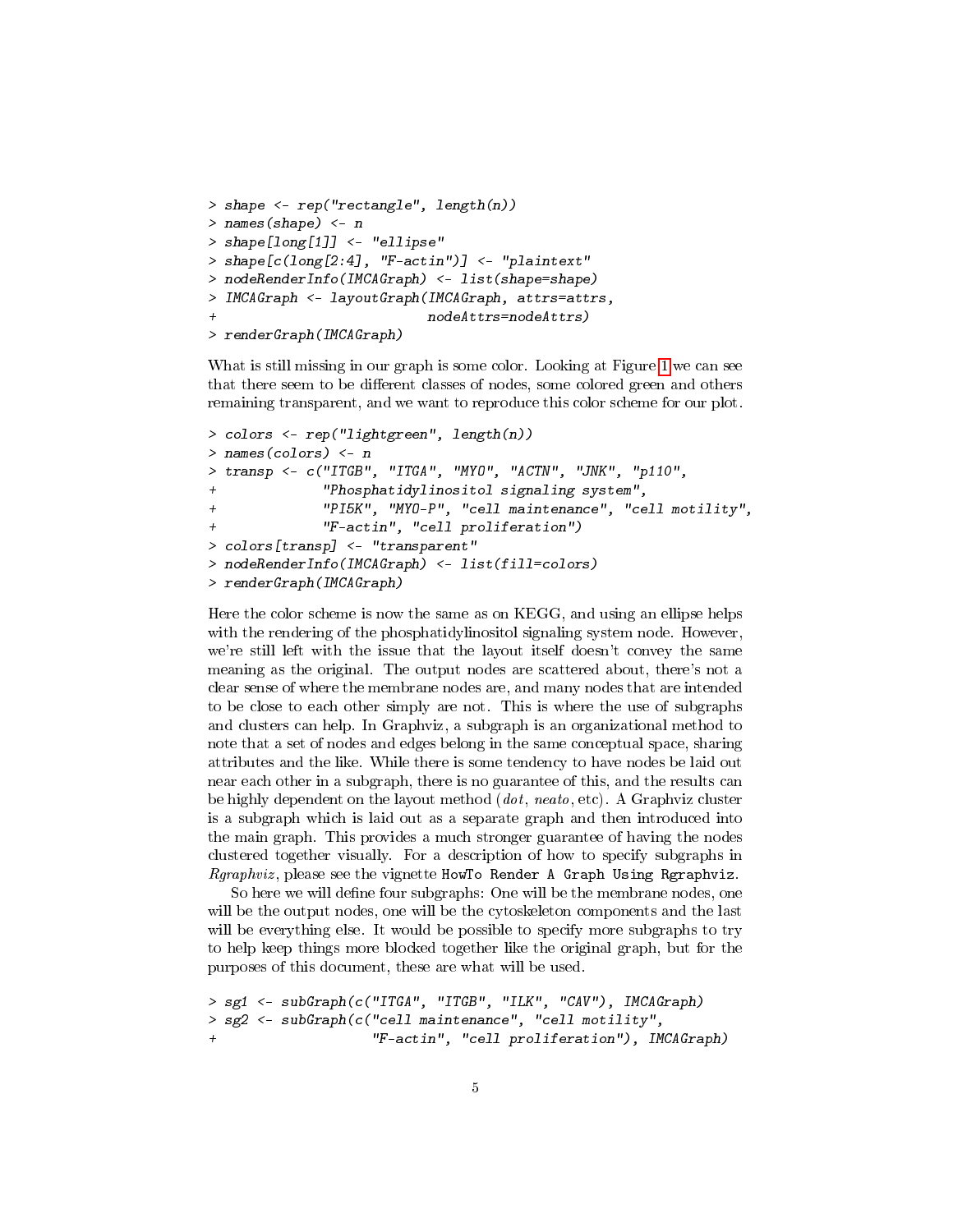```
> shape <- rep("rectangle", length(n))
> names(shape) <- n
> shape[long[1]] <- "ellipse"
> shape[c(long[2:4], "F-actin")] <- "plaintext"
> nodeRenderInfo(IMCAGraph) <- list(shape=shape)
> IMCAGraph <- layoutGraph(IMCAGraph, attrs=attrs,
                           nodeAttrs=nodeAttrs)
> renderGraph(IMCAGraph)
```
What is still missing in our graph is some color. Looking at Figure [1](#page-0-0) we can see that there seem to be different classes of nodes, some colored green and others remaining transparent, and we want to reproduce this color scheme for our plot.

```
> colors <- rep("lightgreen", length(n))
> names(colors) <- n
> transp <- c("ITGB", "ITGA", "MYO", "ACTN", "JNK", "p110",
+ "Phosphatidylinositol signaling system",
+ "PI5K", "MYO-P", "cell maintenance", "cell motility",
+ "F-actin", "cell proliferation")
> colors[transp] <- "transparent"
> nodeRenderInfo(IMCAGraph) <- list(fill=colors)
> renderGraph(IMCAGraph)
```
Here the color scheme is now the same as on KEGG, and using an ellipse helps with the rendering of the phosphatidylinositol signaling system node. However, we're still left with the issue that the layout itself doesn't convey the same meaning as the original. The output nodes are scattered about, there's not a clear sense of where the membrane nodes are, and many nodes that are intended to be close to each other simply are not. This is where the use of subgraphs and clusters can help. In Graphviz, a subgraph is an organizational method to note that a set of nodes and edges belong in the same conceptual space, sharing attributes and the like. While there is some tendency to have nodes be laid out near each other in a subgraph, there is no guarantee of this, and the results can be highly dependent on the layout method  $(dot, \text{neato}, \text{etc})$ . A Graphviz cluster is a subgraph which is laid out as a separate graph and then introduced into the main graph. This provides a much stronger guarantee of having the nodes clustered together visually. For a description of how to specify subgraphs in Rgraphviz , please see the vignette HowTo Render A Graph Using Rgraphviz.

So here we will define four subgraphs: One will be the membrane nodes, one will be the output nodes, one will be the cytoskeleton components and the last will be everything else. It would be possible to specify more subgraphs to try to help keep things more blocked together like the original graph, but for the purposes of this document, these are what will be used.

```
> sg1 <- subGraph(c("ITGA", "ITGB", "ILK", "CAV"), IMCAGraph)
> sg2 <- subGraph(c("cell maintenance", "cell motility",
                    "F-actin", "cell proliferation"), IMCAGraph)
```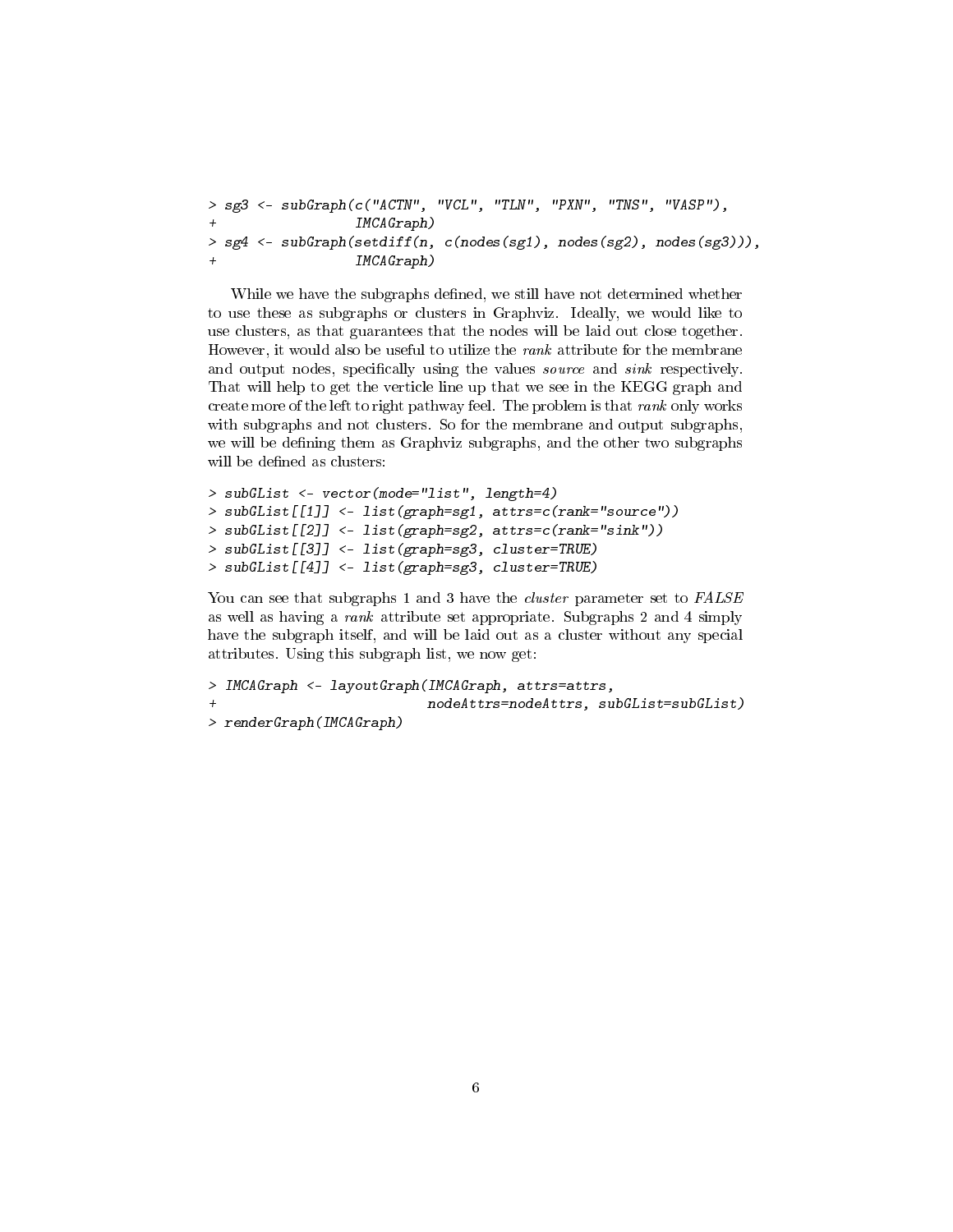```
> sg3 <- subGraph(c("ACTN", "VCL", "TLN", "PXN", "TNS", "VASP"),
                IMCAGraph)
> sg4 <- subGraph(setdiff(n, c(nodes(sg1), nodes(sg2), nodes(sg3))),
+ IMCAGraph)
```
While we have the subgraphs defined, we still have not determined whether to use these as subgraphs or clusters in Graphviz. Ideally, we would like to use clusters, as that guarantees that the nodes will be laid out close together. However, it would also be useful to utilize the rank attribute for the membrane and output nodes, specifically using the values *source* and *sink* respectively. That will help to get the verticle line up that we see in the KEGG graph and create more of the left to right pathway feel. The problem is that rank only works with subgraphs and not clusters. So for the membrane and output subgraphs, we will be defining them as Graphviz subgraphs, and the other two subgraphs will be defined as clusters:

```
> subGList <- vector(mode="list", length=4)
> subGList[[1]] <- list(graph=sg1, attrs=c(rank="source"))
> subGList[[2]] <- list(graph=sg2, attrs=c(rank="sink"))
> subGList[[3]] <- list(graph=sg3, cluster=TRUE)
> subGList[[4]] <- list(graph=sg3, cluster=TRUE)
```
You can see that subgraphs 1 and 3 have the *cluster* parameter set to FALSE as well as having a rank attribute set appropriate. Subgraphs 2 and 4 simply have the subgraph itself, and will be laid out as a cluster without any special attributes. Using this subgraph list, we now get:

```
> IMCAGraph <- layoutGraph(IMCAGraph, attrs=attrs,
+ nodeAttrs=nodeAttrs, subGList=subGList)
> renderGraph(IMCAGraph)
```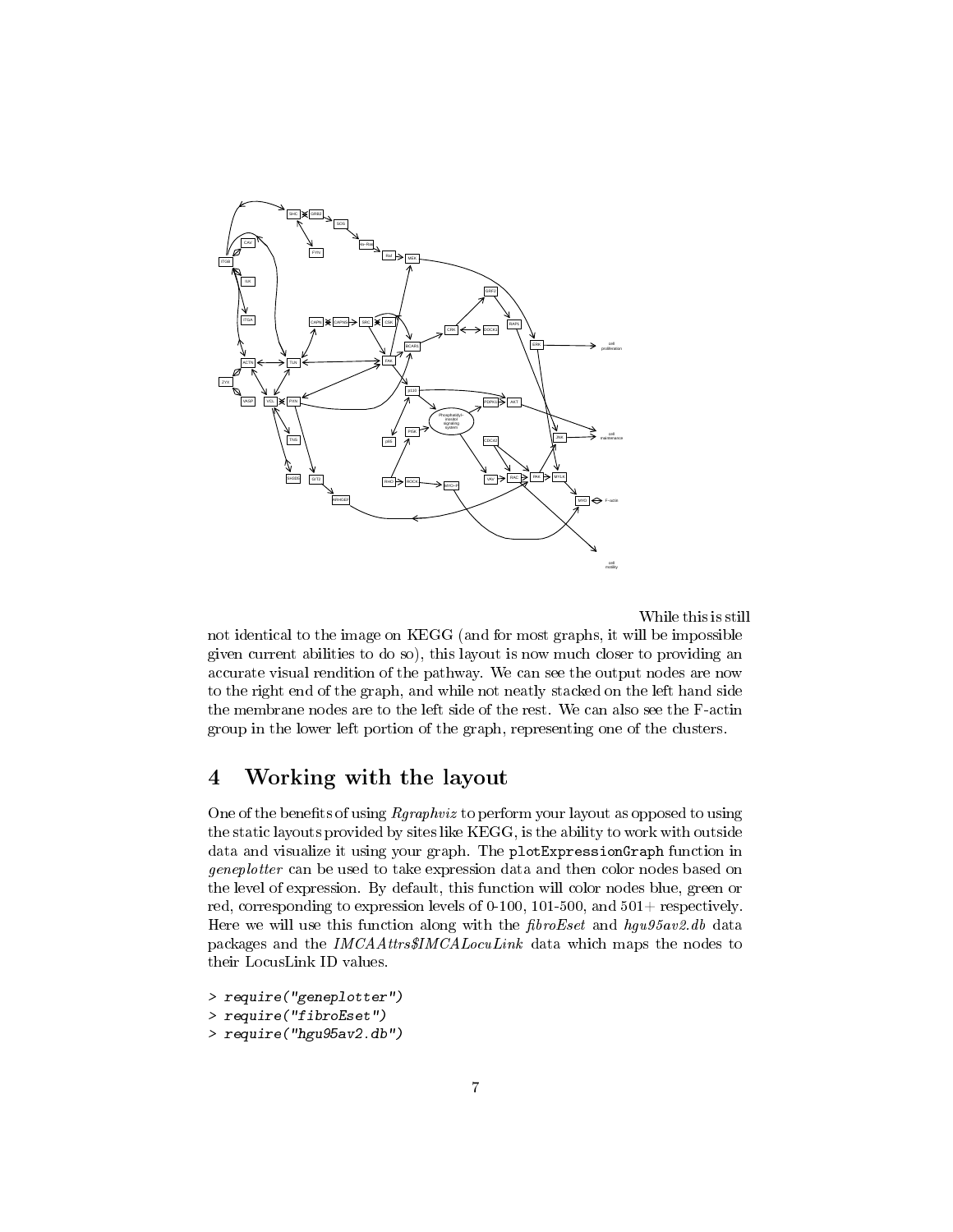

While this is still

not identical to the image on KEGG (and for most graphs, it will be impossible given current abilities to do so), this layout is now much closer to providing an accurate visual rendition of the pathway. We can see the output nodes are now to the right end of the graph, and while not neatly stacked on the left hand side the membrane nodes are to the left side of the rest. We can also see the F-actin group in the lower left portion of the graph, representing one of the clusters.

#### 4 Working with the layout

One of the benefits of using Rgraphviz to perform your layout as opposed to using the static layouts provided by sites like KEGG, is the ability to work with outside data and visualize it using your graph. The plotExpressionGraph function in geneplotter can be used to take expression data and then color nodes based on the level of expression. By default, this function will color nodes blue, green or red, corresponding to expression levels of 0-100, 101-500, and  $501+$  respectively. Here we will use this function along with the  $fibroEset$  and  $hgu95av2$ .db data packages and the IMCAAttrs\$IMCALocuLink data which maps the nodes to their LocusLink ID values.

> require("geneplotter") > require("fibroEset")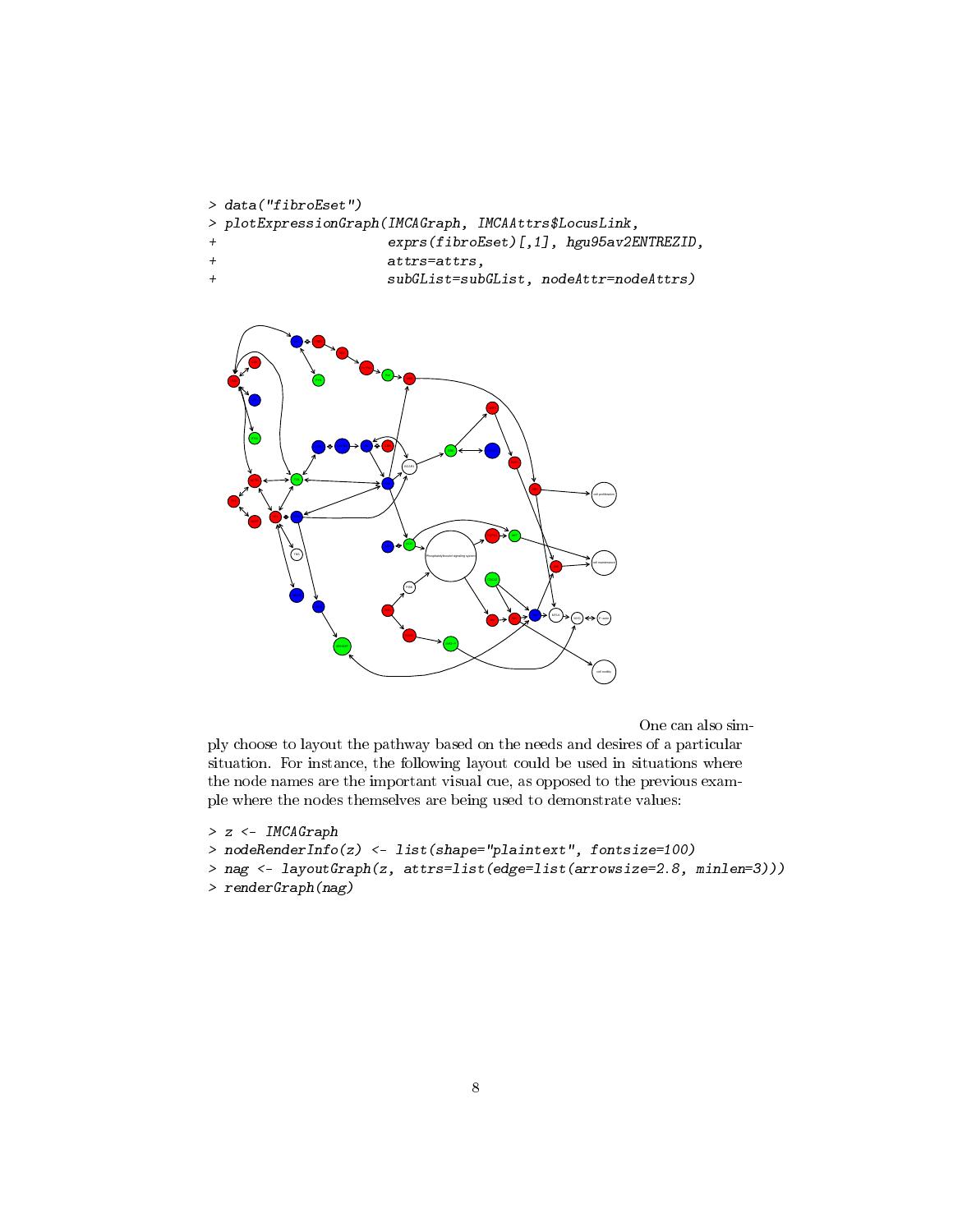```
> data("fibroEset")
> plotExpressionGraph(IMCAGraph, IMCAAttrs$LocusLink,
                      exprs(fibroEset)[,1], hgu95av2ENTREZID,
```
- + attrs=attrs,
- + subGList=subGList, nodeAttr=nodeAttrs)



One can also sim-

ply choose to layout the pathway based on the needs and desires of a particular situation. For instance, the following layout could be used in situations where the node names are the important visual cue, as opposed to the previous example where the nodes themselves are being used to demonstrate values:

```
> z <- IMCAGraph
> nodeRenderInfo(z) <- list(shape="plaintext", fontsize=100)
```

```
> nag <- layoutGraph(z, attrs=list(edge=list(arrowsize=2.8, minlen=3)))
```

```
> renderGraph(nag)
```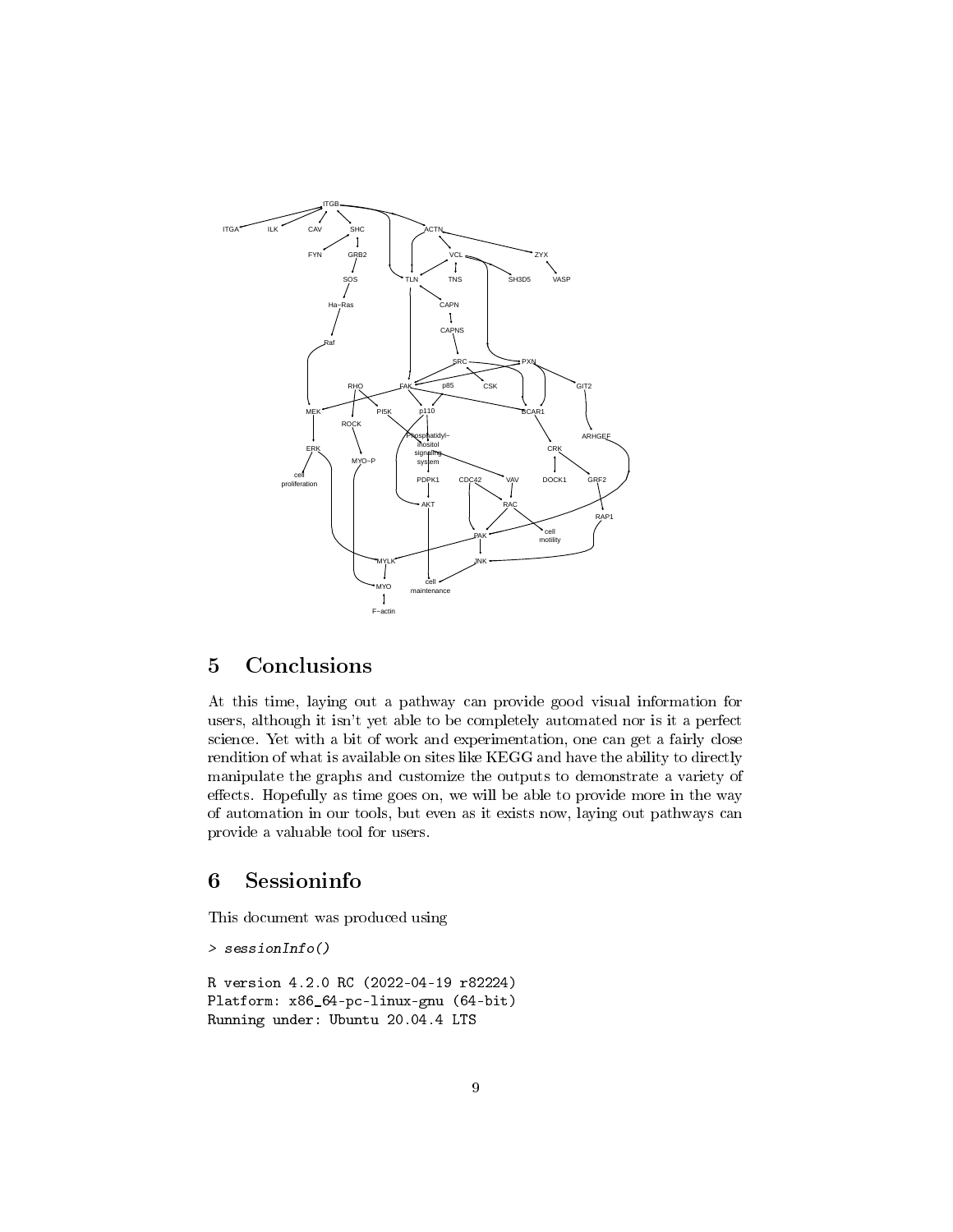

## 5 Conclusions

At this time, laying out a pathway can provide good visual information for users, although it isn't yet able to be completely automated nor is it a perfect science. Yet with a bit of work and experimentation, one can get a fairly close rendition of what is available on sites like KEGG and have the ability to directly manipulate the graphs and customize the outputs to demonstrate a variety of effects. Hopefully as time goes on, we will be able to provide more in the way of automation in our tools, but even as it exists now, laying out pathways can provide a valuable tool for users.

### 6 Sessioninfo

This document was produced using

```
> sessionInfo()
R version 4.2.0 RC (2022-04-19 r82224)
Platform: x86_64-pc-linux-gnu (64-bit)
Running under: Ubuntu 20.04.4 LTS
```